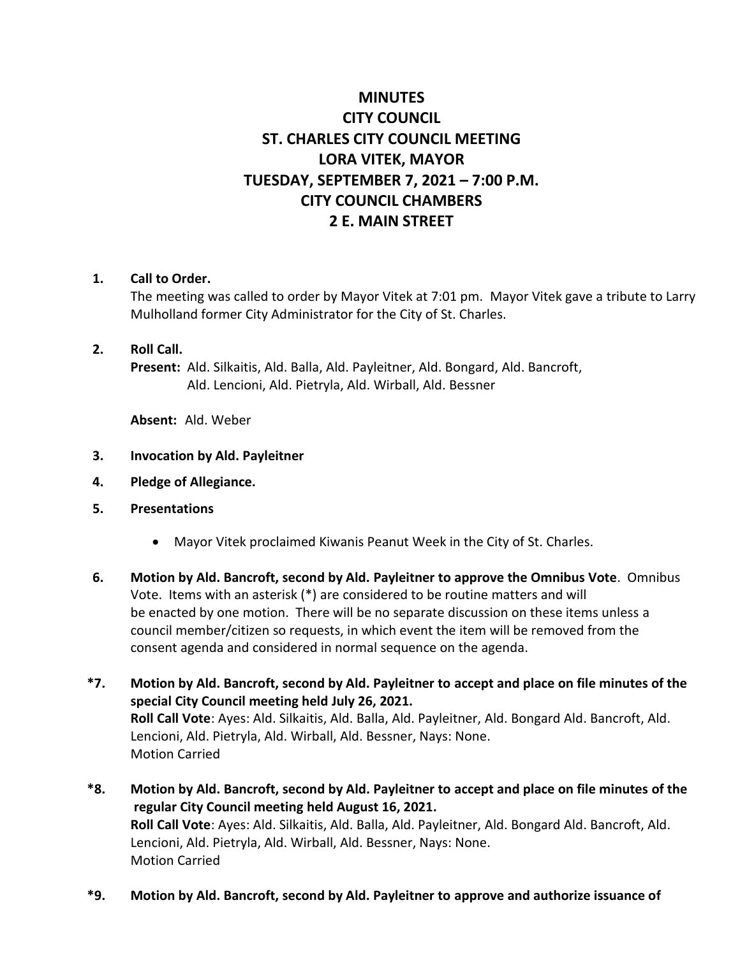# **MINUTES CITY COUNCIL ST. CHARLES CITY COUNCIL MEETING LORA VITEK, MAYOR TUESDAY, SEPTEMBER 7, 2021 – 7:00 P.M. CITY COUNCIL CHAMBERS 2 E. MAIN STREET**

#### **1. Call to Order.**

The meeting was called to order by Mayor Vitek at 7:01 pm. Mayor Vitek gave a tribute to Larry Mulholland former City Administrator for the City of St. Charles.

#### **2. Roll Call.**

**Present:** Ald. Silkaitis, Ald. Balla, Ald. Payleitner, Ald. Bongard, Ald. Bancroft, Ald. Lencioni, Ald. Pietryla, Ald. Wirball, Ald. Bessner

**Absent:** Ald. Weber

- **3. Invocation by Ald. Payleitner**
- **4. Pledge of Allegiance.**
- **5. Presentations**
	- Mayor Vitek proclaimed Kiwanis Peanut Week in the City of St. Charles.
- **6. Motion by Ald. Bancroft, second by Ald. Payleitner to approve the Omnibus Vote**. Omnibus Vote. Items with an asterisk (\*) are considered to be routine matters and will be enacted by one motion. There will be no separate discussion on these items unless a council member/citizen so requests, in which event the item will be removed from the consent agenda and considered in normal sequence on the agenda.
- **\*7. Motion by Ald. Bancroft, second by Ald. Payleitner to accept and place on file minutes of the special City Council meeting held July 26, 2021. Roll Call Vote**: Ayes: Ald. Silkaitis, Ald. Balla, Ald. Payleitner, Ald. Bongard Ald. Bancroft, Ald. Lencioni, Ald. Pietryla, Ald. Wirball, Ald. Bessner, Nays: None. Motion Carried
- **\*8. Motion by Ald. Bancroft, second by Ald. Payleitner to accept and place on file minutes of the regular City Council meeting held August 16, 2021. Roll Call Vote**: Ayes: Ald. Silkaitis, Ald. Balla, Ald. Payleitner, Ald. Bongard Ald. Bancroft, Ald. Lencioni, Ald. Pietryla, Ald. Wirball, Ald. Bessner, Nays: None. Motion Carried
- **\*9. Motion by Ald. Bancroft, second by Ald. Payleitner to approve and authorize issuance of**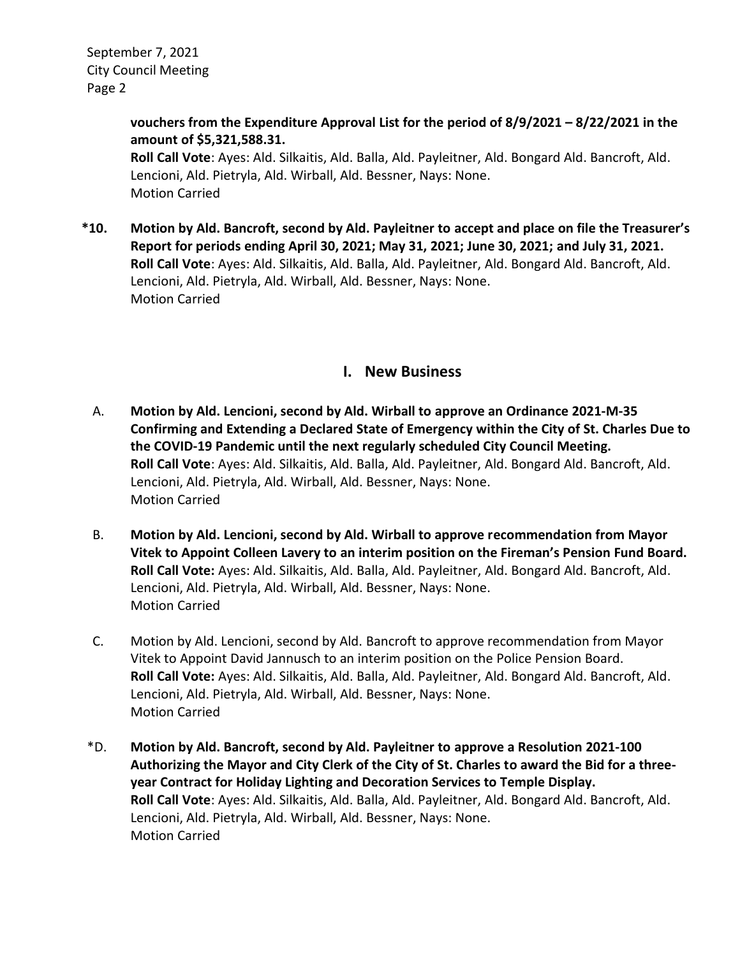> **vouchers from the Expenditure Approval List for the period of 8/9/2021 – 8/22/2021 in the amount of \$5,321,588.31.**

**Roll Call Vote**: Ayes: Ald. Silkaitis, Ald. Balla, Ald. Payleitner, Ald. Bongard Ald. Bancroft, Ald. Lencioni, Ald. Pietryla, Ald. Wirball, Ald. Bessner, Nays: None. Motion Carried

**\*10. Motion by Ald. Bancroft, second by Ald. Payleitner to accept and place on file the Treasurer's Report for periods ending April 30, 2021; May 31, 2021; June 30, 2021; and July 31, 2021. Roll Call Vote**: Ayes: Ald. Silkaitis, Ald. Balla, Ald. Payleitner, Ald. Bongard Ald. Bancroft, Ald. Lencioni, Ald. Pietryla, Ald. Wirball, Ald. Bessner, Nays: None. Motion Carried

### **I. New Business**

- A. **Motion by Ald. Lencioni, second by Ald. Wirball to approve an Ordinance 2021-M-35 Confirming and Extending a Declared State of Emergency within the City of St. Charles Due to the COVID-19 Pandemic until the next regularly scheduled City Council Meeting. Roll Call Vote**: Ayes: Ald. Silkaitis, Ald. Balla, Ald. Payleitner, Ald. Bongard Ald. Bancroft, Ald. Lencioni, Ald. Pietryla, Ald. Wirball, Ald. Bessner, Nays: None. Motion Carried
- B. **Motion by Ald. Lencioni, second by Ald. Wirball to approve recommendation from Mayor Vitek to Appoint Colleen Lavery to an interim position on the Fireman's Pension Fund Board. Roll Call Vote:** Ayes: Ald. Silkaitis, Ald. Balla, Ald. Payleitner, Ald. Bongard Ald. Bancroft, Ald. Lencioni, Ald. Pietryla, Ald. Wirball, Ald. Bessner, Nays: None. Motion Carried
- C. Motion by Ald. Lencioni, second by Ald. Bancroft to approve recommendation from Mayor Vitek to Appoint David Jannusch to an interim position on the Police Pension Board. **Roll Call Vote:** Ayes: Ald. Silkaitis, Ald. Balla, Ald. Payleitner, Ald. Bongard Ald. Bancroft, Ald. Lencioni, Ald. Pietryla, Ald. Wirball, Ald. Bessner, Nays: None. Motion Carried
- \*D. **Motion by Ald. Bancroft, second by Ald. Payleitner to approve a Resolution 2021-100 Authorizing the Mayor and City Clerk of the City of St. Charles to award the Bid for a threeyear Contract for Holiday Lighting and Decoration Services to Temple Display. Roll Call Vote**: Ayes: Ald. Silkaitis, Ald. Balla, Ald. Payleitner, Ald. Bongard Ald. Bancroft, Ald. Lencioni, Ald. Pietryla, Ald. Wirball, Ald. Bessner, Nays: None. Motion Carried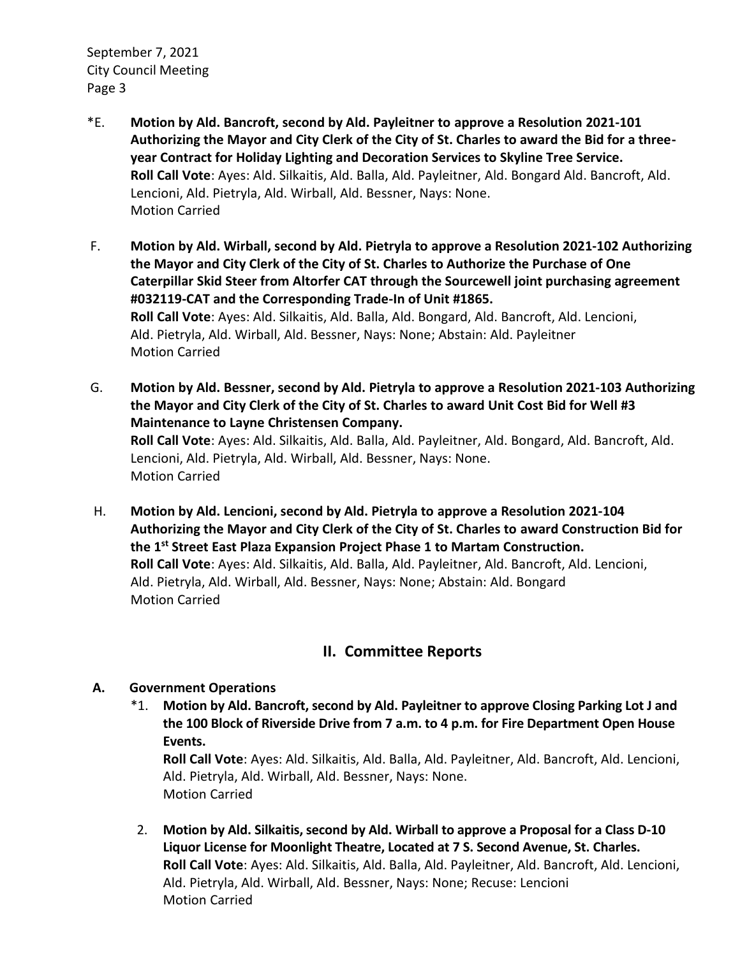- \*E. **Motion by Ald. Bancroft, second by Ald. Payleitner to approve a Resolution 2021-101 Authorizing the Mayor and City Clerk of the City of St. Charles to award the Bid for a threeyear Contract for Holiday Lighting and Decoration Services to Skyline Tree Service. Roll Call Vote**: Ayes: Ald. Silkaitis, Ald. Balla, Ald. Payleitner, Ald. Bongard Ald. Bancroft, Ald. Lencioni, Ald. Pietryla, Ald. Wirball, Ald. Bessner, Nays: None. Motion Carried
- F. **Motion by Ald. Wirball, second by Ald. Pietryla to approve a Resolution 2021-102 Authorizing the Mayor and City Clerk of the City of St. Charles to Authorize the Purchase of One Caterpillar Skid Steer from Altorfer CAT through the Sourcewell joint purchasing agreement #032119-CAT and the Corresponding Trade-In of Unit #1865. Roll Call Vote**: Ayes: Ald. Silkaitis, Ald. Balla, Ald. Bongard, Ald. Bancroft, Ald. Lencioni, Ald. Pietryla, Ald. Wirball, Ald. Bessner, Nays: None; Abstain: Ald. Payleitner Motion Carried
- G. **Motion by Ald. Bessner, second by Ald. Pietryla to approve a Resolution 2021-103 Authorizing the Mayor and City Clerk of the City of St. Charles to award Unit Cost Bid for Well #3 Maintenance to Layne Christensen Company. Roll Call Vote**: Ayes: Ald. Silkaitis, Ald. Balla, Ald. Payleitner, Ald. Bongard, Ald. Bancroft, Ald. Lencioni, Ald. Pietryla, Ald. Wirball, Ald. Bessner, Nays: None. Motion Carried
- H. **Motion by Ald. Lencioni, second by Ald. Pietryla to approve a Resolution 2021-104 Authorizing the Mayor and City Clerk of the City of St. Charles to award Construction Bid for the 1st Street East Plaza Expansion Project Phase 1 to Martam Construction. Roll Call Vote**: Ayes: Ald. Silkaitis, Ald. Balla, Ald. Payleitner, Ald. Bancroft, Ald. Lencioni, Ald. Pietryla, Ald. Wirball, Ald. Bessner, Nays: None; Abstain: Ald. Bongard Motion Carried

## **II. Committee Reports**

### **A. Government Operations**

\*1. **Motion by Ald. Bancroft, second by Ald. Payleitner to approve Closing Parking Lot J and the 100 Block of Riverside Drive from 7 a.m. to 4 p.m. for Fire Department Open House Events.**

**Roll Call Vote**: Ayes: Ald. Silkaitis, Ald. Balla, Ald. Payleitner, Ald. Bancroft, Ald. Lencioni, Ald. Pietryla, Ald. Wirball, Ald. Bessner, Nays: None. Motion Carried

 2. **Motion by Ald. Silkaitis, second by Ald. Wirball to approve a Proposal for a Class D-10 Liquor License for Moonlight Theatre, Located at 7 S. Second Avenue, St. Charles. Roll Call Vote**: Ayes: Ald. Silkaitis, Ald. Balla, Ald. Payleitner, Ald. Bancroft, Ald. Lencioni, Ald. Pietryla, Ald. Wirball, Ald. Bessner, Nays: None; Recuse: Lencioni Motion Carried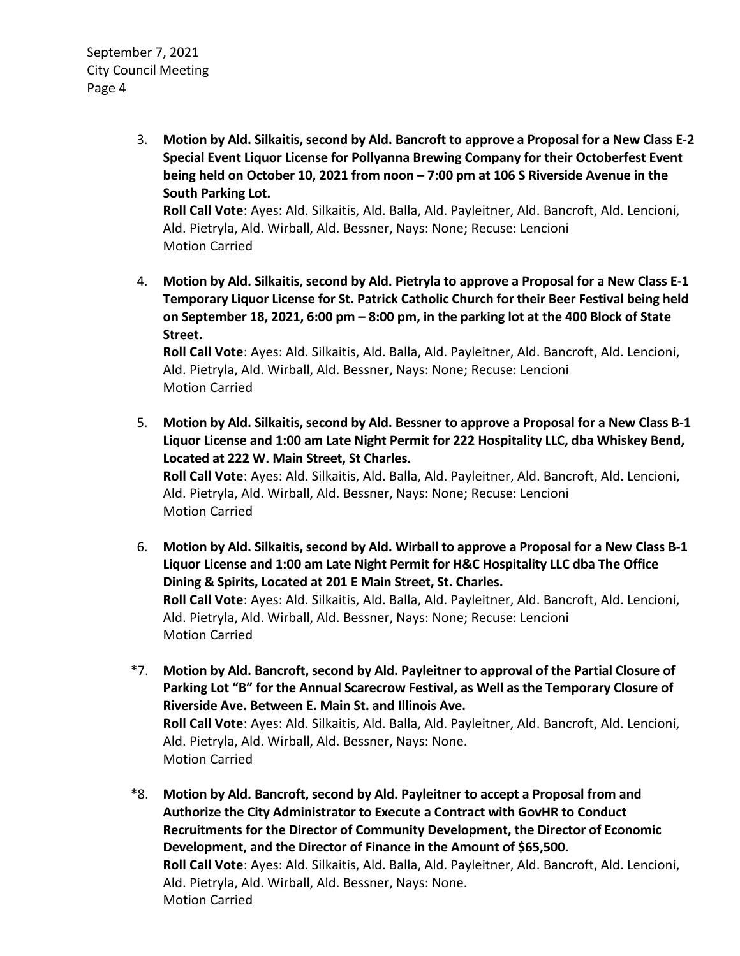3. **Motion by Ald. Silkaitis, second by Ald. Bancroft to approve a Proposal for a New Class E-2 Special Event Liquor License for Pollyanna Brewing Company for their Octoberfest Event being held on October 10, 2021 from noon – 7:00 pm at 106 S Riverside Avenue in the South Parking Lot. Roll Call Vote**: Ayes: Ald. Silkaitis, Ald. Balla, Ald. Payleitner, Ald. Bancroft, Ald. Lencioni, Ald. Pietryla, Ald. Wirball, Ald. Bessner, Nays: None; Recuse: Lencioni

Motion Carried

 4. **Motion by Ald. Silkaitis, second by Ald. Pietryla to approve a Proposal for a New Class E-1 Temporary Liquor License for St. Patrick Catholic Church for their Beer Festival being held on September 18, 2021, 6:00 pm – 8:00 pm, in the parking lot at the 400 Block of State Street.** 

**Roll Call Vote**: Ayes: Ald. Silkaitis, Ald. Balla, Ald. Payleitner, Ald. Bancroft, Ald. Lencioni, Ald. Pietryla, Ald. Wirball, Ald. Bessner, Nays: None; Recuse: Lencioni Motion Carried

 5. **Motion by Ald. Silkaitis, second by Ald. Bessner to approve a Proposal for a New Class B-1 Liquor License and 1:00 am Late Night Permit for 222 Hospitality LLC, dba Whiskey Bend, Located at 222 W. Main Street, St Charles. Roll Call Vote**: Ayes: Ald. Silkaitis, Ald. Balla, Ald. Payleitner, Ald. Bancroft, Ald. Lencioni, Ald. Pietryla, Ald. Wirball, Ald. Bessner, Nays: None; Recuse: Lencioni

Motion Carried

- 6. **Motion by Ald. Silkaitis, second by Ald. Wirball to approve a Proposal for a New Class B-1 Liquor License and 1:00 am Late Night Permit for H&C Hospitality LLC dba The Office Dining & Spirits, Located at 201 E Main Street, St. Charles. Roll Call Vote**: Ayes: Ald. Silkaitis, Ald. Balla, Ald. Payleitner, Ald. Bancroft, Ald. Lencioni, Ald. Pietryla, Ald. Wirball, Ald. Bessner, Nays: None; Recuse: Lencioni Motion Carried
- \*7. **Motion by Ald. Bancroft, second by Ald. Payleitner to approval of the Partial Closure of Parking Lot "B" for the Annual Scarecrow Festival, as Well as the Temporary Closure of Riverside Ave. Between E. Main St. and Illinois Ave. Roll Call Vote**: Ayes: Ald. Silkaitis, Ald. Balla, Ald. Payleitner, Ald. Bancroft, Ald. Lencioni, Ald. Pietryla, Ald. Wirball, Ald. Bessner, Nays: None. Motion Carried
- \*8. **Motion by Ald. Bancroft, second by Ald. Payleitner to accept a Proposal from and Authorize the City Administrator to Execute a Contract with GovHR to Conduct Recruitments for the Director of Community Development, the Director of Economic Development, and the Director of Finance in the Amount of \$65,500. Roll Call Vote**: Ayes: Ald. Silkaitis, Ald. Balla, Ald. Payleitner, Ald. Bancroft, Ald. Lencioni, Ald. Pietryla, Ald. Wirball, Ald. Bessner, Nays: None. Motion Carried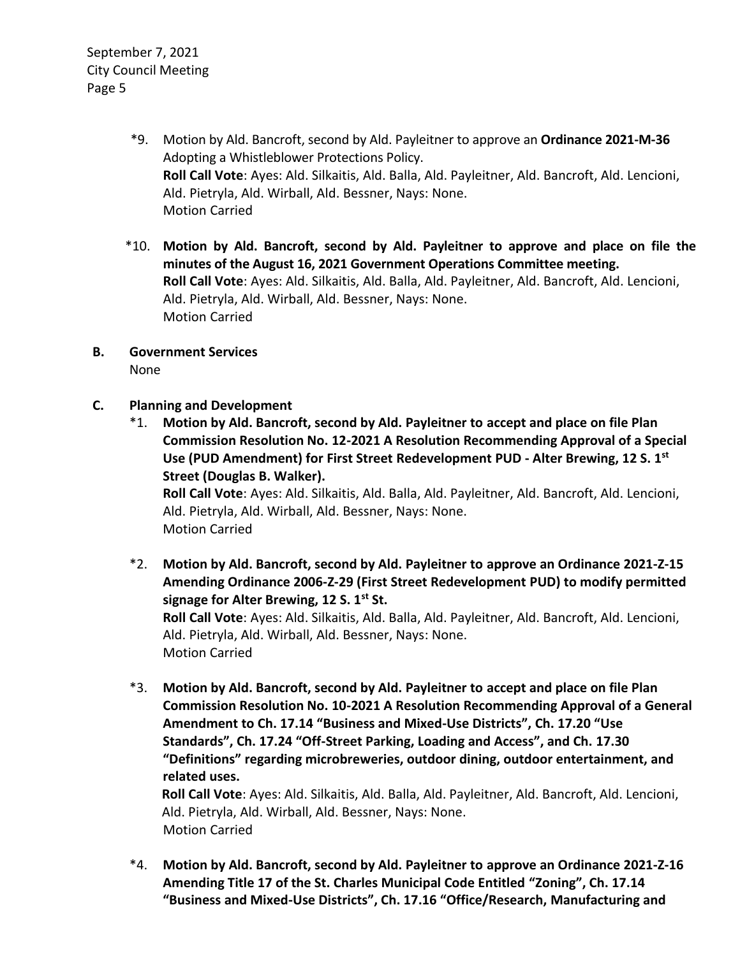- \*9. Motion by Ald. Bancroft, second by Ald. Payleitner to approve an **Ordinance 2021-M-36** Adopting a Whistleblower Protections Policy. **Roll Call Vote**: Ayes: Ald. Silkaitis, Ald. Balla, Ald. Payleitner, Ald. Bancroft, Ald. Lencioni, Ald. Pietryla, Ald. Wirball, Ald. Bessner, Nays: None. Motion Carried
- \*10. **Motion by Ald. Bancroft, second by Ald. Payleitner to approve and place on file the minutes of the August 16, 2021 Government Operations Committee meeting. Roll Call Vote**: Ayes: Ald. Silkaitis, Ald. Balla, Ald. Payleitner, Ald. Bancroft, Ald. Lencioni, Ald. Pietryla, Ald. Wirball, Ald. Bessner, Nays: None. Motion Carried
- **B. Government Services** None
- **C. Planning and Development**
	- \*1. **Motion by Ald. Bancroft, second by Ald. Payleitner to accept and place on file Plan Commission Resolution No. 12-2021 A Resolution Recommending Approval of a Special Use (PUD Amendment) for First Street Redevelopment PUD - Alter Brewing, 12 S. 1st Street (Douglas B. Walker).**

**Roll Call Vote**: Ayes: Ald. Silkaitis, Ald. Balla, Ald. Payleitner, Ald. Bancroft, Ald. Lencioni, Ald. Pietryla, Ald. Wirball, Ald. Bessner, Nays: None. Motion Carried

- \*2. **Motion by Ald. Bancroft, second by Ald. Payleitner to approve an Ordinance 2021-Z-15 Amending Ordinance 2006-Z-29 (First Street Redevelopment PUD) to modify permitted signage for Alter Brewing, 12 S. 1st St. Roll Call Vote**: Ayes: Ald. Silkaitis, Ald. Balla, Ald. Payleitner, Ald. Bancroft, Ald. Lencioni, Ald. Pietryla, Ald. Wirball, Ald. Bessner, Nays: None. Motion Carried
- \*3. **Motion by Ald. Bancroft, second by Ald. Payleitner to accept and place on file Plan Commission Resolution No. 10-2021 A Resolution Recommending Approval of a General Amendment to Ch. 17.14 "Business and Mixed-Use Districts", Ch. 17.20 "Use Standards", Ch. 17.24 "Off-Street Parking, Loading and Access", and Ch. 17.30 "Definitions" regarding microbreweries, outdoor dining, outdoor entertainment, and related uses.**

**Roll Call Vote**: Ayes: Ald. Silkaitis, Ald. Balla, Ald. Payleitner, Ald. Bancroft, Ald. Lencioni, Ald. Pietryla, Ald. Wirball, Ald. Bessner, Nays: None. Motion Carried

\*4. **Motion by Ald. Bancroft, second by Ald. Payleitner to approve an Ordinance 2021-Z-16 Amending Title 17 of the St. Charles Municipal Code Entitled "Zoning", Ch. 17.14 "Business and Mixed-Use Districts", Ch. 17.16 "Office/Research, Manufacturing and**